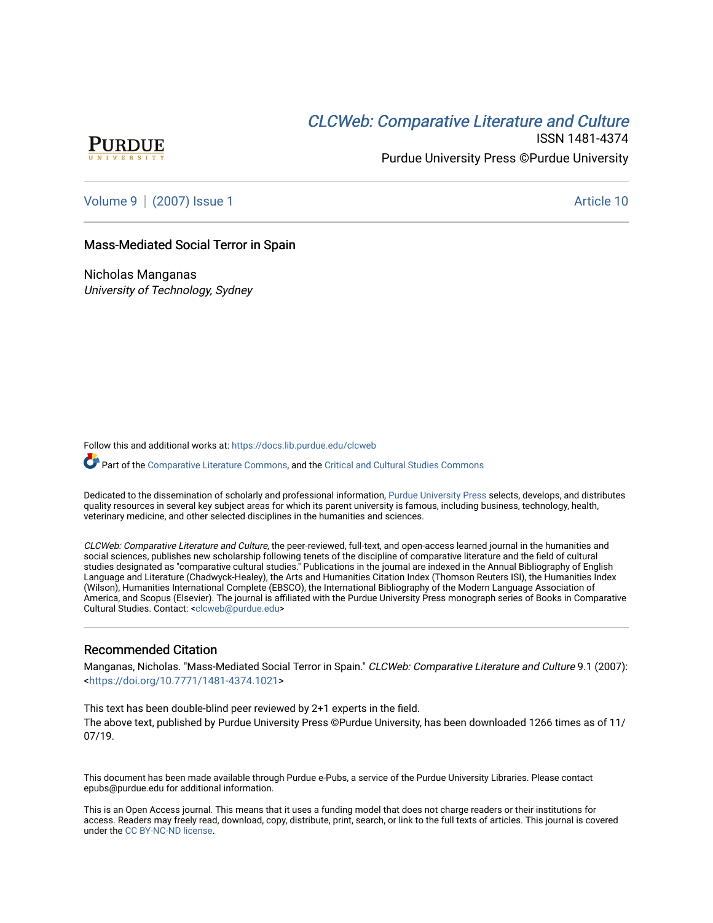# CLCW[eb: Comparative Liter](https://docs.lib.purdue.edu/clcweb)ature and Culture



ISSN 1481-4374 Purdue University Press ©Purdue University

[Volume 9](https://docs.lib.purdue.edu/clcweb/vol9) | [\(2007\) Issue 1](https://docs.lib.purdue.edu/clcweb/vol9/iss1) Article 10

## Mass-Mediated Social Terror in Spain

Nicholas Manganas University of Technology, Sydney

Follow this and additional works at: [https://docs.lib.purdue.edu/clcweb](https://docs.lib.purdue.edu/clcweb?utm_source=docs.lib.purdue.edu%2Fclcweb%2Fvol9%2Fiss1%2F10&utm_medium=PDF&utm_campaign=PDFCoverPages)

Part of the [Comparative Literature Commons,](http://network.bepress.com/hgg/discipline/454?utm_source=docs.lib.purdue.edu%2Fclcweb%2Fvol9%2Fiss1%2F10&utm_medium=PDF&utm_campaign=PDFCoverPages) and the Critical and Cultural Studies Commons

Dedicated to the dissemination of scholarly and professional information, [Purdue University Press](http://www.thepress.purdue.edu/) selects, develops, and distributes quality resources in several key subject areas for which its parent university is famous, including business, technology, health, veterinary medicine, and other selected disciplines in the humanities and sciences.

CLCWeb: Comparative Literature and Culture, the peer-reviewed, full-text, and open-access learned journal in the humanities and social sciences, publishes new scholarship following tenets of the discipline of comparative literature and the field of cultural studies designated as "comparative cultural studies." Publications in the journal are indexed in the Annual Bibliography of English Language and Literature (Chadwyck-Healey), the Arts and Humanities Citation Index (Thomson Reuters ISI), the Humanities Index (Wilson), Humanities International Complete (EBSCO), the International Bibliography of the Modern Language Association of America, and Scopus (Elsevier). The journal is affiliated with the Purdue University Press monograph series of Books in Comparative Cultural Studies. Contact: [<clcweb@purdue.edu](mailto:clcweb@purdue.edu)>

# Recommended Citation

Manganas, Nicholas. "Mass-Mediated Social Terror in Spain." CLCWeb: Comparative Literature and Culture 9.1 (2007): <<https://doi.org/10.7771/1481-4374.1021>>

This text has been double-blind peer reviewed by 2+1 experts in the field. The above text, published by Purdue University Press ©Purdue University, has been downloaded 1266 times as of 11/ 07/19.

This document has been made available through Purdue e-Pubs, a service of the Purdue University Libraries. Please contact epubs@purdue.edu for additional information.

This is an Open Access journal. This means that it uses a funding model that does not charge readers or their institutions for access. Readers may freely read, download, copy, distribute, print, search, or link to the full texts of articles. This journal is covered under the [CC BY-NC-ND license.](https://creativecommons.org/licenses/by-nc-nd/4.0/)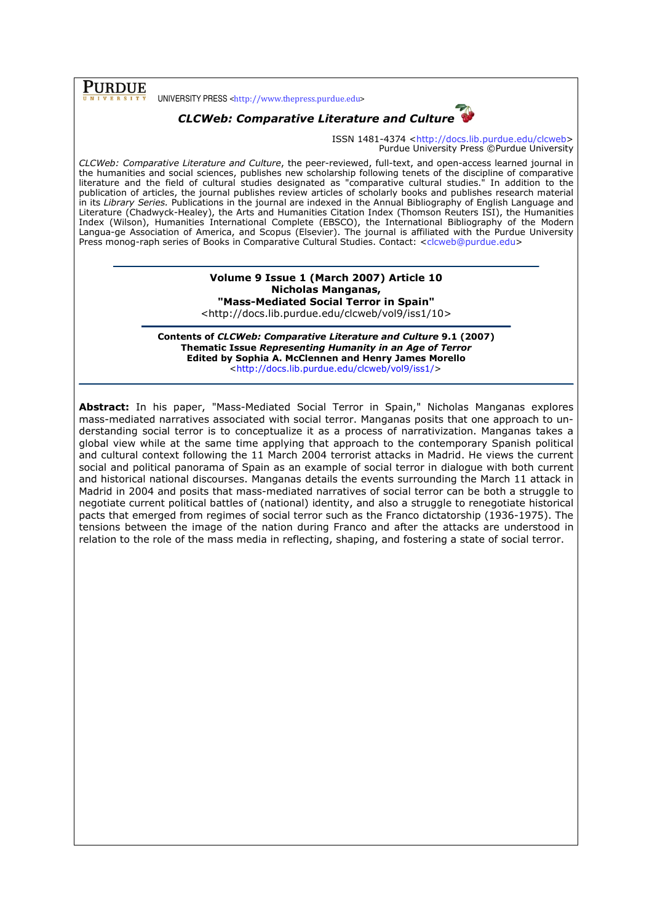# PURDUE

UNIVERSITY PRESS <http://www.thepress.purdue.edu>



ISSN 1481-4374 <http://docs.lib.purdue.edu/clcweb> Purdue University Press ©Purdue University

CLCWeb: Comparative Literature and Culture, the peer-reviewed, full-text, and open-access learned journal in the humanities and social sciences, publishes new scholarship following tenets of the discipline of comparative literature and the field of cultural studies designated as "comparative cultural studies." In addition to the publication of articles, the journal publishes review articles of scholarly books and publishes research material in its Library Series. Publications in the journal are indexed in the Annual Bibliography of English Language and Literature (Chadwyck-Healey), the Arts and Humanities Citation Index (Thomson Reuters ISI), the Humanities Index (Wilson), Humanities International Complete (EBSCO), the International Bibliography of the Modern Langua-ge Association of America, and Scopus (Elsevier). The journal is affiliated with the Purdue University Press monog-raph series of Books in Comparative Cultural Studies. Contact: <clcweb@purdue.edu>

#### Volume 9 Issue 1 (March 2007) Article 10 Nicholas Manganas, "Mass-Mediated Social Terror in Spain"

<http://docs.lib.purdue.edu/clcweb/vol9/iss1/10>

Contents of CLCWeb: Comparative Literature and Culture 9.1 (2007) Thematic Issue Representing Humanity in an Age of Terror Edited by Sophia A. McClennen and Henry James Morello <http://docs.lib.purdue.edu/clcweb/vol9/iss1/>

Abstract: In his paper, "Mass-Mediated Social Terror in Spain," Nicholas Manganas explores mass-mediated narratives associated with social terror. Manganas posits that one approach to understanding social terror is to conceptualize it as a process of narrativization. Manganas takes a global view while at the same time applying that approach to the contemporary Spanish political and cultural context following the 11 March 2004 terrorist attacks in Madrid. He views the current social and political panorama of Spain as an example of social terror in dialogue with both current and historical national discourses. Manganas details the events surrounding the March 11 attack in Madrid in 2004 and posits that mass-mediated narratives of social terror can be both a struggle to negotiate current political battles of (national) identity, and also a struggle to renegotiate historical pacts that emerged from regimes of social terror such as the Franco dictatorship (1936-1975). The tensions between the image of the nation during Franco and after the attacks are understood in relation to the role of the mass media in reflecting, shaping, and fostering a state of social terror.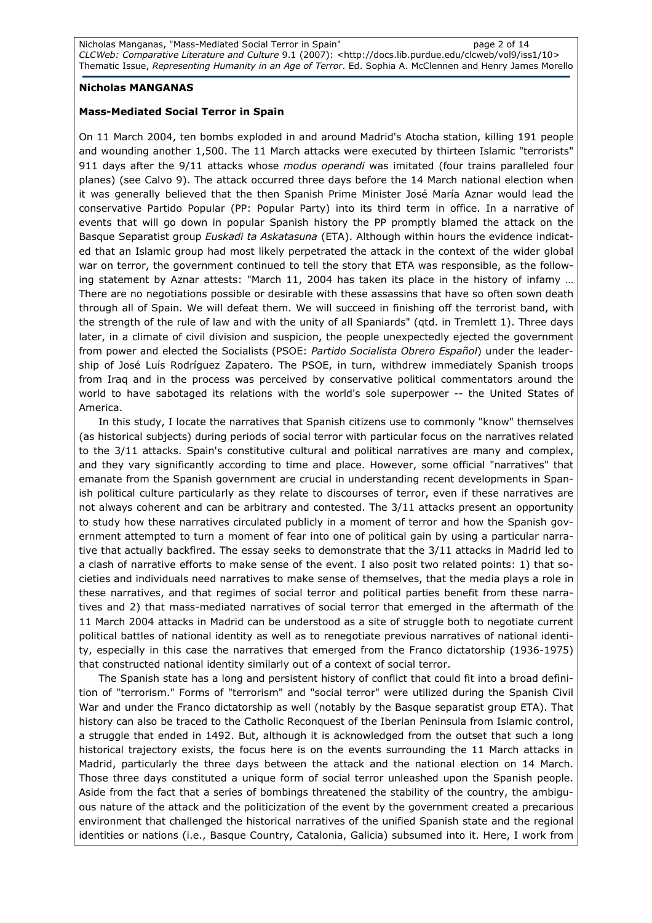### Nicholas MANGANAS

### Mass-Mediated Social Terror in Spain

On 11 March 2004, ten bombs exploded in and around Madrid's Atocha station, killing 191 people and wounding another 1,500. The 11 March attacks were executed by thirteen Islamic "terrorists" 911 days after the 9/11 attacks whose *modus operandi* was imitated (four trains paralleled four planes) (see Calvo 9). The attack occurred three days before the 14 March national election when it was generally believed that the then Spanish Prime Minister José María Aznar would lead the conservative Partido Popular (PP: Popular Party) into its third term in office. In a narrative of events that will go down in popular Spanish history the PP promptly blamed the attack on the Basque Separatist group Euskadi ta Askatasuna (ETA). Although within hours the evidence indicated that an Islamic group had most likely perpetrated the attack in the context of the wider global war on terror, the government continued to tell the story that ETA was responsible, as the following statement by Aznar attests: "March 11, 2004 has taken its place in the history of infamy … There are no negotiations possible or desirable with these assassins that have so often sown death through all of Spain. We will defeat them. We will succeed in finishing off the terrorist band, with the strength of the rule of law and with the unity of all Spaniards" (qtd. in Tremlett 1). Three days later, in a climate of civil division and suspicion, the people unexpectedly ejected the government from power and elected the Socialists (PSOE: Partido Socialista Obrero Español) under the leadership of José Luís Rodríguez Zapatero. The PSOE, in turn, withdrew immediately Spanish troops from Iraq and in the process was perceived by conservative political commentators around the world to have sabotaged its relations with the world's sole superpower -- the United States of America.

In this study, I locate the narratives that Spanish citizens use to commonly "know" themselves (as historical subjects) during periods of social terror with particular focus on the narratives related to the 3/11 attacks. Spain's constitutive cultural and political narratives are many and complex, and they vary significantly according to time and place. However, some official "narratives" that emanate from the Spanish government are crucial in understanding recent developments in Spanish political culture particularly as they relate to discourses of terror, even if these narratives are not always coherent and can be arbitrary and contested. The 3/11 attacks present an opportunity to study how these narratives circulated publicly in a moment of terror and how the Spanish government attempted to turn a moment of fear into one of political gain by using a particular narrative that actually backfired. The essay seeks to demonstrate that the 3/11 attacks in Madrid led to a clash of narrative efforts to make sense of the event. I also posit two related points: 1) that societies and individuals need narratives to make sense of themselves, that the media plays a role in these narratives, and that regimes of social terror and political parties benefit from these narratives and 2) that mass-mediated narratives of social terror that emerged in the aftermath of the 11 March 2004 attacks in Madrid can be understood as a site of struggle both to negotiate current political battles of national identity as well as to renegotiate previous narratives of national identity, especially in this case the narratives that emerged from the Franco dictatorship (1936-1975) that constructed national identity similarly out of a context of social terror.

The Spanish state has a long and persistent history of conflict that could fit into a broad definition of "terrorism." Forms of "terrorism" and "social terror" were utilized during the Spanish Civil War and under the Franco dictatorship as well (notably by the Basque separatist group ETA). That history can also be traced to the Catholic Reconquest of the Iberian Peninsula from Islamic control, a struggle that ended in 1492. But, although it is acknowledged from the outset that such a long historical trajectory exists, the focus here is on the events surrounding the 11 March attacks in Madrid, particularly the three days between the attack and the national election on 14 March. Those three days constituted a unique form of social terror unleashed upon the Spanish people. Aside from the fact that a series of bombings threatened the stability of the country, the ambiguous nature of the attack and the politicization of the event by the government created a precarious environment that challenged the historical narratives of the unified Spanish state and the regional identities or nations (i.e., Basque Country, Catalonia, Galicia) subsumed into it. Here, I work from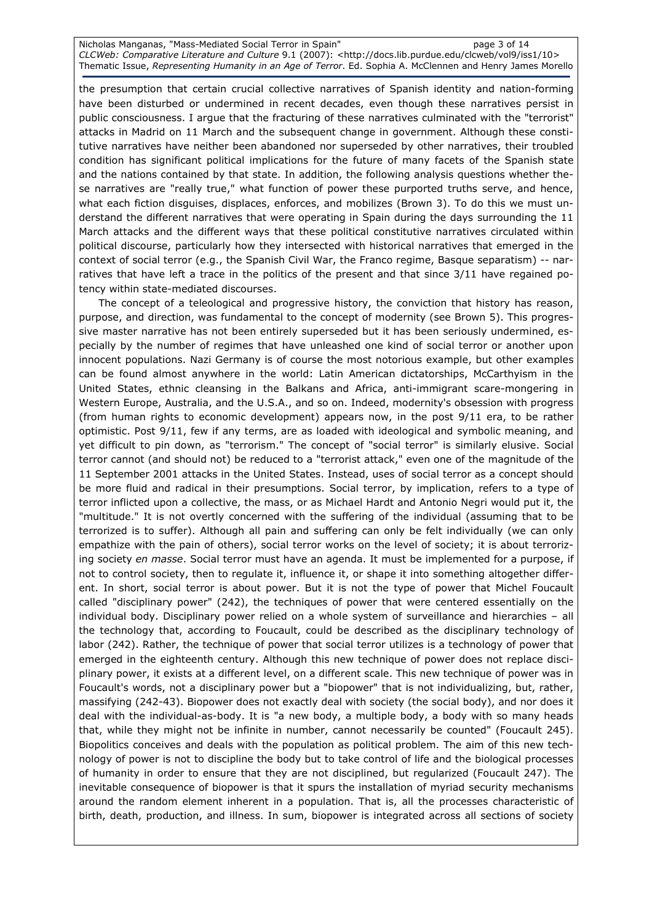Nicholas Manganas, "Mass-Mediated Social Terror in Spain" page 3 of 14 CLCWeb: Comparative Literature and Culture 9.1 (2007): <http://docs.lib.purdue.edu/clcweb/vol9/iss1/10> Thematic Issue, Representing Humanity in an Age of Terror. Ed. Sophia A. McClennen and Henry James Morello

the presumption that certain crucial collective narratives of Spanish identity and nation-forming have been disturbed or undermined in recent decades, even though these narratives persist in public consciousness. I argue that the fracturing of these narratives culminated with the "terrorist" attacks in Madrid on 11 March and the subsequent change in government. Although these constitutive narratives have neither been abandoned nor superseded by other narratives, their troubled condition has significant political implications for the future of many facets of the Spanish state and the nations contained by that state. In addition, the following analysis questions whether these narratives are "really true," what function of power these purported truths serve, and hence, what each fiction disguises, displaces, enforces, and mobilizes (Brown 3). To do this we must understand the different narratives that were operating in Spain during the days surrounding the 11 March attacks and the different ways that these political constitutive narratives circulated within political discourse, particularly how they intersected with historical narratives that emerged in the context of social terror (e.g., the Spanish Civil War, the Franco regime, Basque separatism) -- narratives that have left a trace in the politics of the present and that since 3/11 have regained potency within state-mediated discourses.

The concept of a teleological and progressive history, the conviction that history has reason, purpose, and direction, was fundamental to the concept of modernity (see Brown 5). This progressive master narrative has not been entirely superseded but it has been seriously undermined, especially by the number of regimes that have unleashed one kind of social terror or another upon innocent populations. Nazi Germany is of course the most notorious example, but other examples can be found almost anywhere in the world: Latin American dictatorships, McCarthyism in the United States, ethnic cleansing in the Balkans and Africa, anti-immigrant scare-mongering in Western Europe, Australia, and the U.S.A., and so on. Indeed, modernity's obsession with progress (from human rights to economic development) appears now, in the post 9/11 era, to be rather optimistic. Post 9/11, few if any terms, are as loaded with ideological and symbolic meaning, and yet difficult to pin down, as "terrorism." The concept of "social terror" is similarly elusive. Social terror cannot (and should not) be reduced to a "terrorist attack," even one of the magnitude of the 11 September 2001 attacks in the United States. Instead, uses of social terror as a concept should be more fluid and radical in their presumptions. Social terror, by implication, refers to a type of terror inflicted upon a collective, the mass, or as Michael Hardt and Antonio Negri would put it, the "multitude." It is not overtly concerned with the suffering of the individual (assuming that to be terrorized is to suffer). Although all pain and suffering can only be felt individually (we can only empathize with the pain of others), social terror works on the level of society; it is about terrorizing society en masse. Social terror must have an agenda. It must be implemented for a purpose, if not to control society, then to regulate it, influence it, or shape it into something altogether different. In short, social terror is about power. But it is not the type of power that Michel Foucault called "disciplinary power" (242), the techniques of power that were centered essentially on the individual body. Disciplinary power relied on a whole system of surveillance and hierarchies – all the technology that, according to Foucault, could be described as the disciplinary technology of labor (242). Rather, the technique of power that social terror utilizes is a technology of power that emerged in the eighteenth century. Although this new technique of power does not replace disciplinary power, it exists at a different level, on a different scale. This new technique of power was in Foucault's words, not a disciplinary power but a "biopower" that is not individualizing, but, rather, massifying (242-43). Biopower does not exactly deal with society (the social body), and nor does it deal with the individual-as-body. It is "a new body, a multiple body, a body with so many heads that, while they might not be infinite in number, cannot necessarily be counted" (Foucault 245). Biopolitics conceives and deals with the population as political problem. The aim of this new technology of power is not to discipline the body but to take control of life and the biological processes of humanity in order to ensure that they are not disciplined, but regularized (Foucault 247). The inevitable consequence of biopower is that it spurs the installation of myriad security mechanisms around the random element inherent in a population. That is, all the processes characteristic of birth, death, production, and illness. In sum, biopower is integrated across all sections of society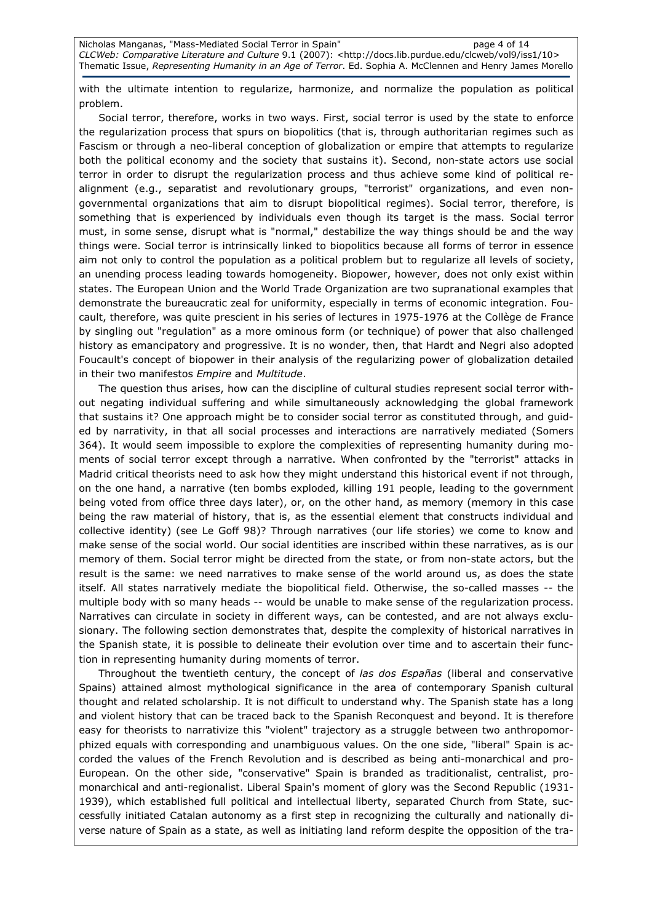with the ultimate intention to regularize, harmonize, and normalize the population as political problem.

Social terror, therefore, works in two ways. First, social terror is used by the state to enforce the regularization process that spurs on biopolitics (that is, through authoritarian regimes such as Fascism or through a neo-liberal conception of globalization or empire that attempts to regularize both the political economy and the society that sustains it). Second, non-state actors use social terror in order to disrupt the regularization process and thus achieve some kind of political realignment (e.g., separatist and revolutionary groups, "terrorist" organizations, and even nongovernmental organizations that aim to disrupt biopolitical regimes). Social terror, therefore, is something that is experienced by individuals even though its target is the mass. Social terror must, in some sense, disrupt what is "normal," destabilize the way things should be and the way things were. Social terror is intrinsically linked to biopolitics because all forms of terror in essence aim not only to control the population as a political problem but to regularize all levels of society, an unending process leading towards homogeneity. Biopower, however, does not only exist within states. The European Union and the World Trade Organization are two supranational examples that demonstrate the bureaucratic zeal for uniformity, especially in terms of economic integration. Foucault, therefore, was quite prescient in his series of lectures in 1975-1976 at the Collège de France by singling out "regulation" as a more ominous form (or technique) of power that also challenged history as emancipatory and progressive. It is no wonder, then, that Hardt and Negri also adopted Foucault's concept of biopower in their analysis of the regularizing power of globalization detailed in their two manifestos Empire and Multitude.

The question thus arises, how can the discipline of cultural studies represent social terror without negating individual suffering and while simultaneously acknowledging the global framework that sustains it? One approach might be to consider social terror as constituted through, and guided by narrativity, in that all social processes and interactions are narratively mediated (Somers 364). It would seem impossible to explore the complexities of representing humanity during moments of social terror except through a narrative. When confronted by the "terrorist" attacks in Madrid critical theorists need to ask how they might understand this historical event if not through, on the one hand, a narrative (ten bombs exploded, killing 191 people, leading to the government being voted from office three days later), or, on the other hand, as memory (memory in this case being the raw material of history, that is, as the essential element that constructs individual and collective identity) (see Le Goff 98)? Through narratives (our life stories) we come to know and make sense of the social world. Our social identities are inscribed within these narratives, as is our memory of them. Social terror might be directed from the state, or from non-state actors, but the result is the same: we need narratives to make sense of the world around us, as does the state itself. All states narratively mediate the biopolitical field. Otherwise, the so-called masses -- the multiple body with so many heads -- would be unable to make sense of the regularization process. Narratives can circulate in society in different ways, can be contested, and are not always exclusionary. The following section demonstrates that, despite the complexity of historical narratives in the Spanish state, it is possible to delineate their evolution over time and to ascertain their function in representing humanity during moments of terror.

Throughout the twentieth century, the concept of las dos Españas (liberal and conservative Spains) attained almost mythological significance in the area of contemporary Spanish cultural thought and related scholarship. It is not difficult to understand why. The Spanish state has a long and violent history that can be traced back to the Spanish Reconquest and beyond. It is therefore easy for theorists to narrativize this "violent" trajectory as a struggle between two anthropomorphized equals with corresponding and unambiguous values. On the one side, "liberal" Spain is accorded the values of the French Revolution and is described as being anti-monarchical and pro-European. On the other side, "conservative" Spain is branded as traditionalist, centralist, promonarchical and anti-regionalist. Liberal Spain's moment of glory was the Second Republic (1931- 1939), which established full political and intellectual liberty, separated Church from State, successfully initiated Catalan autonomy as a first step in recognizing the culturally and nationally diverse nature of Spain as a state, as well as initiating land reform despite the opposition of the tra-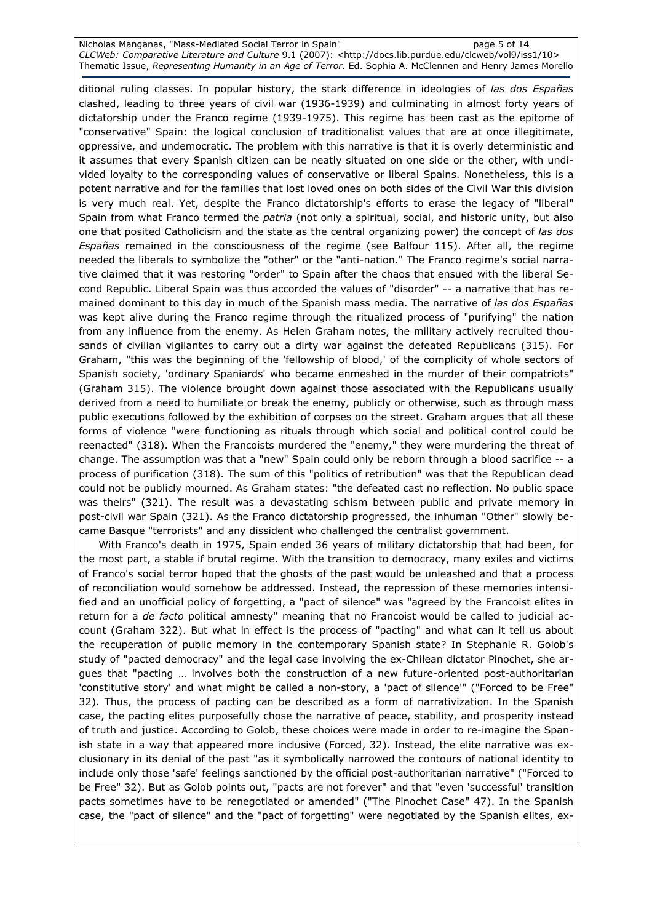Nicholas Manganas, "Mass-Mediated Social Terror in Spain" and page 5 of 14 CLCWeb: Comparative Literature and Culture 9.1 (2007): <http://docs.lib.purdue.edu/clcweb/vol9/iss1/10> Thematic Issue, Representing Humanity in an Age of Terror. Ed. Sophia A. McClennen and Henry James Morello

ditional ruling classes. In popular history, the stark difference in ideologies of las dos Españas clashed, leading to three years of civil war (1936-1939) and culminating in almost forty years of dictatorship under the Franco regime (1939-1975). This regime has been cast as the epitome of "conservative" Spain: the logical conclusion of traditionalist values that are at once illegitimate, oppressive, and undemocratic. The problem with this narrative is that it is overly deterministic and it assumes that every Spanish citizen can be neatly situated on one side or the other, with undivided loyalty to the corresponding values of conservative or liberal Spains. Nonetheless, this is a potent narrative and for the families that lost loved ones on both sides of the Civil War this division is very much real. Yet, despite the Franco dictatorship's efforts to erase the legacy of "liberal" Spain from what Franco termed the patria (not only a spiritual, social, and historic unity, but also one that posited Catholicism and the state as the central organizing power) the concept of las dos Españas remained in the consciousness of the regime (see Balfour 115). After all, the regime needed the liberals to symbolize the "other" or the "anti-nation." The Franco regime's social narrative claimed that it was restoring "order" to Spain after the chaos that ensued with the liberal Second Republic. Liberal Spain was thus accorded the values of "disorder" -- a narrative that has remained dominant to this day in much of the Spanish mass media. The narrative of las dos Españas was kept alive during the Franco regime through the ritualized process of "purifying" the nation from any influence from the enemy. As Helen Graham notes, the military actively recruited thousands of civilian vigilantes to carry out a dirty war against the defeated Republicans (315). For Graham, "this was the beginning of the 'fellowship of blood,' of the complicity of whole sectors of Spanish society, 'ordinary Spaniards' who became enmeshed in the murder of their compatriots" (Graham 315). The violence brought down against those associated with the Republicans usually derived from a need to humiliate or break the enemy, publicly or otherwise, such as through mass public executions followed by the exhibition of corpses on the street. Graham argues that all these forms of violence "were functioning as rituals through which social and political control could be reenacted" (318). When the Francoists murdered the "enemy," they were murdering the threat of change. The assumption was that a "new" Spain could only be reborn through a blood sacrifice -- a process of purification (318). The sum of this "politics of retribution" was that the Republican dead could not be publicly mourned. As Graham states: "the defeated cast no reflection. No public space was theirs" (321). The result was a devastating schism between public and private memory in post-civil war Spain (321). As the Franco dictatorship progressed, the inhuman "Other" slowly became Basque "terrorists" and any dissident who challenged the centralist government.

With Franco's death in 1975, Spain ended 36 years of military dictatorship that had been, for the most part, a stable if brutal regime. With the transition to democracy, many exiles and victims of Franco's social terror hoped that the ghosts of the past would be unleashed and that a process of reconciliation would somehow be addressed. Instead, the repression of these memories intensified and an unofficial policy of forgetting, a "pact of silence" was "agreed by the Francoist elites in return for a de facto political amnesty" meaning that no Francoist would be called to judicial account (Graham 322). But what in effect is the process of "pacting" and what can it tell us about the recuperation of public memory in the contemporary Spanish state? In Stephanie R. Golob's study of "pacted democracy" and the legal case involving the ex-Chilean dictator Pinochet, she argues that "pacting … involves both the construction of a new future-oriented post-authoritarian 'constitutive story' and what might be called a non-story, a 'pact of silence'" ("Forced to be Free" 32). Thus, the process of pacting can be described as a form of narrativization. In the Spanish case, the pacting elites purposefully chose the narrative of peace, stability, and prosperity instead of truth and justice. According to Golob, these choices were made in order to re-imagine the Spanish state in a way that appeared more inclusive (Forced, 32). Instead, the elite narrative was exclusionary in its denial of the past "as it symbolically narrowed the contours of national identity to include only those 'safe' feelings sanctioned by the official post-authoritarian narrative" ("Forced to be Free" 32). But as Golob points out, "pacts are not forever" and that "even 'successful' transition pacts sometimes have to be renegotiated or amended" ("The Pinochet Case" 47). In the Spanish case, the "pact of silence" and the "pact of forgetting" were negotiated by the Spanish elites, ex-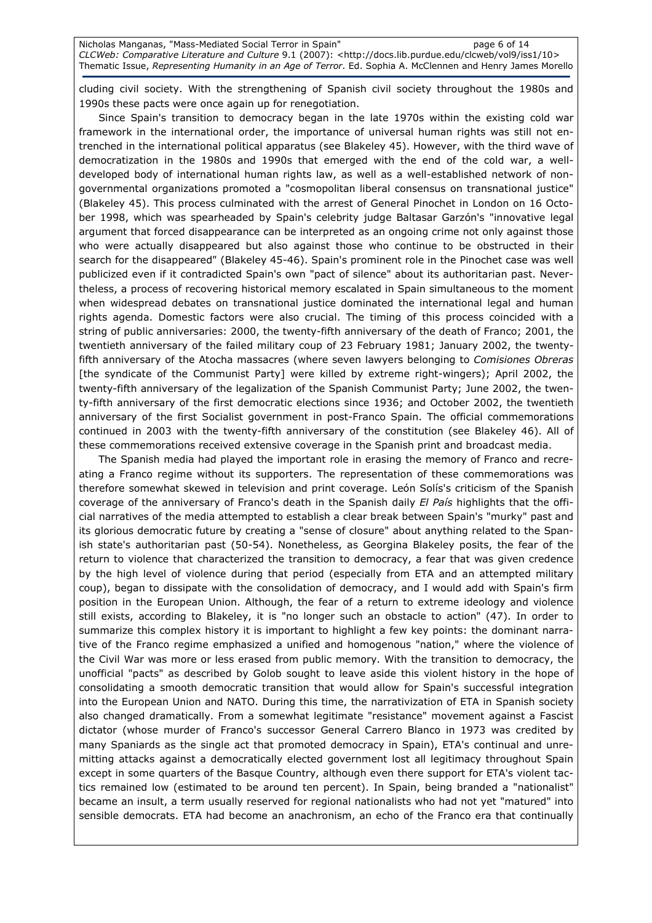Nicholas Manganas, "Mass-Mediated Social Terror in Spain" page 6 of 14 CLCWeb: Comparative Literature and Culture 9.1 (2007): <http://docs.lib.purdue.edu/clcweb/vol9/iss1/10> Thematic Issue, Representing Humanity in an Age of Terror. Ed. Sophia A. McClennen and Henry James Morello

cluding civil society. With the strengthening of Spanish civil society throughout the 1980s and 1990s these pacts were once again up for renegotiation.

Since Spain's transition to democracy began in the late 1970s within the existing cold war framework in the international order, the importance of universal human rights was still not entrenched in the international political apparatus (see Blakeley 45). However, with the third wave of democratization in the 1980s and 1990s that emerged with the end of the cold war, a welldeveloped body of international human rights law, as well as a well-established network of nongovernmental organizations promoted a "cosmopolitan liberal consensus on transnational justice" (Blakeley 45). This process culminated with the arrest of General Pinochet in London on 16 October 1998, which was spearheaded by Spain's celebrity judge Baltasar Garzón's "innovative legal argument that forced disappearance can be interpreted as an ongoing crime not only against those who were actually disappeared but also against those who continue to be obstructed in their search for the disappeared" (Blakeley 45-46). Spain's prominent role in the Pinochet case was well publicized even if it contradicted Spain's own "pact of silence" about its authoritarian past. Nevertheless, a process of recovering historical memory escalated in Spain simultaneous to the moment when widespread debates on transnational justice dominated the international legal and human rights agenda. Domestic factors were also crucial. The timing of this process coincided with a string of public anniversaries: 2000, the twenty-fifth anniversary of the death of Franco; 2001, the twentieth anniversary of the failed military coup of 23 February 1981; January 2002, the twentyfifth anniversary of the Atocha massacres (where seven lawyers belonging to Comisiones Obreras [the syndicate of the Communist Party] were killed by extreme right-wingers); April 2002, the twenty-fifth anniversary of the legalization of the Spanish Communist Party; June 2002, the twenty-fifth anniversary of the first democratic elections since 1936; and October 2002, the twentieth anniversary of the first Socialist government in post-Franco Spain. The official commemorations continued in 2003 with the twenty-fifth anniversary of the constitution (see Blakeley 46). All of these commemorations received extensive coverage in the Spanish print and broadcast media.

The Spanish media had played the important role in erasing the memory of Franco and recreating a Franco regime without its supporters. The representation of these commemorations was therefore somewhat skewed in television and print coverage. León Solís's criticism of the Spanish coverage of the anniversary of Franco's death in the Spanish daily El País highlights that the official narratives of the media attempted to establish a clear break between Spain's "murky" past and its glorious democratic future by creating a "sense of closure" about anything related to the Spanish state's authoritarian past (50-54). Nonetheless, as Georgina Blakeley posits, the fear of the return to violence that characterized the transition to democracy, a fear that was given credence by the high level of violence during that period (especially from ETA and an attempted military coup), began to dissipate with the consolidation of democracy, and I would add with Spain's firm position in the European Union. Although, the fear of a return to extreme ideology and violence still exists, according to Blakeley, it is "no longer such an obstacle to action" (47). In order to summarize this complex history it is important to highlight a few key points: the dominant narrative of the Franco regime emphasized a unified and homogenous "nation," where the violence of the Civil War was more or less erased from public memory. With the transition to democracy, the unofficial "pacts" as described by Golob sought to leave aside this violent history in the hope of consolidating a smooth democratic transition that would allow for Spain's successful integration into the European Union and NATO. During this time, the narrativization of ETA in Spanish society also changed dramatically. From a somewhat legitimate "resistance" movement against a Fascist dictator (whose murder of Franco's successor General Carrero Blanco in 1973 was credited by many Spaniards as the single act that promoted democracy in Spain), ETA's continual and unremitting attacks against a democratically elected government lost all legitimacy throughout Spain except in some quarters of the Basque Country, although even there support for ETA's violent tactics remained low (estimated to be around ten percent). In Spain, being branded a "nationalist" became an insult, a term usually reserved for regional nationalists who had not yet "matured" into sensible democrats. ETA had become an anachronism, an echo of the Franco era that continually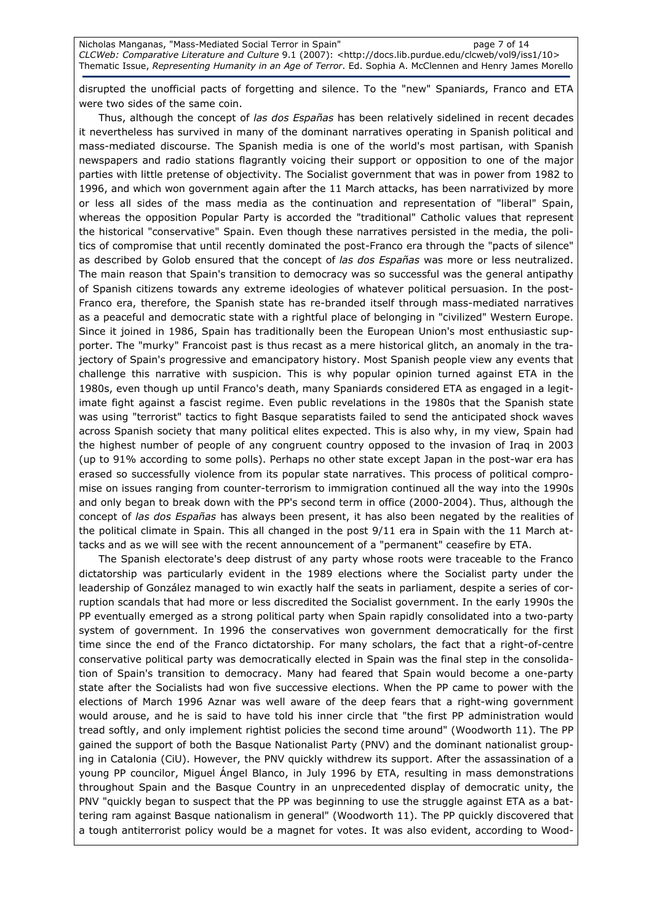disrupted the unofficial pacts of forgetting and silence. To the "new" Spaniards, Franco and ETA were two sides of the same coin.

Thus, although the concept of las dos Españas has been relatively sidelined in recent decades it nevertheless has survived in many of the dominant narratives operating in Spanish political and mass-mediated discourse. The Spanish media is one of the world's most partisan, with Spanish newspapers and radio stations flagrantly voicing their support or opposition to one of the major parties with little pretense of objectivity. The Socialist government that was in power from 1982 to 1996, and which won government again after the 11 March attacks, has been narrativized by more or less all sides of the mass media as the continuation and representation of "liberal" Spain, whereas the opposition Popular Party is accorded the "traditional" Catholic values that represent the historical "conservative" Spain. Even though these narratives persisted in the media, the politics of compromise that until recently dominated the post-Franco era through the "pacts of silence" as described by Golob ensured that the concept of las dos Españas was more or less neutralized. The main reason that Spain's transition to democracy was so successful was the general antipathy of Spanish citizens towards any extreme ideologies of whatever political persuasion. In the post-Franco era, therefore, the Spanish state has re-branded itself through mass-mediated narratives as a peaceful and democratic state with a rightful place of belonging in "civilized" Western Europe. Since it joined in 1986, Spain has traditionally been the European Union's most enthusiastic supporter. The "murky" Francoist past is thus recast as a mere historical glitch, an anomaly in the trajectory of Spain's progressive and emancipatory history. Most Spanish people view any events that challenge this narrative with suspicion. This is why popular opinion turned against ETA in the 1980s, even though up until Franco's death, many Spaniards considered ETA as engaged in a legitimate fight against a fascist regime. Even public revelations in the 1980s that the Spanish state was using "terrorist" tactics to fight Basque separatists failed to send the anticipated shock waves across Spanish society that many political elites expected. This is also why, in my view, Spain had the highest number of people of any congruent country opposed to the invasion of Iraq in 2003 (up to 91% according to some polls). Perhaps no other state except Japan in the post-war era has erased so successfully violence from its popular state narratives. This process of political compromise on issues ranging from counter-terrorism to immigration continued all the way into the 1990s and only began to break down with the PP's second term in office (2000-2004). Thus, although the concept of las dos Españas has always been present, it has also been negated by the realities of the political climate in Spain. This all changed in the post 9/11 era in Spain with the 11 March attacks and as we will see with the recent announcement of a "permanent" ceasefire by ETA.

The Spanish electorate's deep distrust of any party whose roots were traceable to the Franco dictatorship was particularly evident in the 1989 elections where the Socialist party under the leadership of González managed to win exactly half the seats in parliament, despite a series of corruption scandals that had more or less discredited the Socialist government. In the early 1990s the PP eventually emerged as a strong political party when Spain rapidly consolidated into a two-party system of government. In 1996 the conservatives won government democratically for the first time since the end of the Franco dictatorship. For many scholars, the fact that a right-of-centre conservative political party was democratically elected in Spain was the final step in the consolidation of Spain's transition to democracy. Many had feared that Spain would become a one-party state after the Socialists had won five successive elections. When the PP came to power with the elections of March 1996 Aznar was well aware of the deep fears that a right-wing government would arouse, and he is said to have told his inner circle that "the first PP administration would tread softly, and only implement rightist policies the second time around" (Woodworth 11). The PP gained the support of both the Basque Nationalist Party (PNV) and the dominant nationalist grouping in Catalonia (CiU). However, the PNV quickly withdrew its support. After the assassination of a young PP councilor, Miguel Ángel Blanco, in July 1996 by ETA, resulting in mass demonstrations throughout Spain and the Basque Country in an unprecedented display of democratic unity, the PNV "quickly began to suspect that the PP was beginning to use the struggle against ETA as a battering ram against Basque nationalism in general" (Woodworth 11). The PP quickly discovered that a tough antiterrorist policy would be a magnet for votes. It was also evident, according to Wood-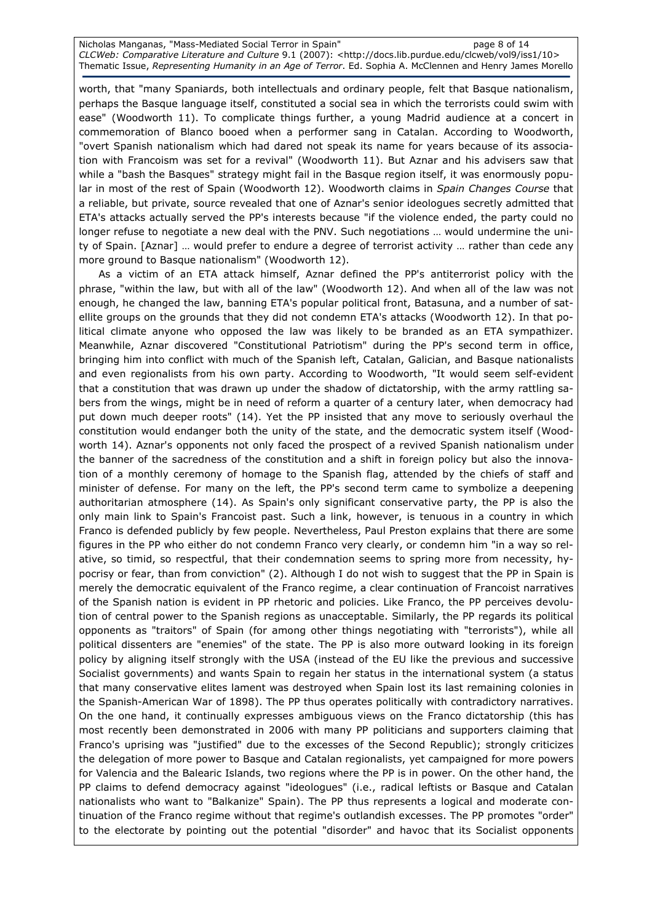Nicholas Manganas, "Mass-Mediated Social Terror in Spain" page 8 of 14 CLCWeb: Comparative Literature and Culture 9.1 (2007): <http://docs.lib.purdue.edu/clcweb/vol9/iss1/10> Thematic Issue, Representing Humanity in an Age of Terror. Ed. Sophia A. McClennen and Henry James Morello

worth, that "many Spaniards, both intellectuals and ordinary people, felt that Basque nationalism, perhaps the Basque language itself, constituted a social sea in which the terrorists could swim with ease" (Woodworth 11). To complicate things further, a young Madrid audience at a concert in commemoration of Blanco booed when a performer sang in Catalan. According to Woodworth, "overt Spanish nationalism which had dared not speak its name for years because of its association with Francoism was set for a revival" (Woodworth 11). But Aznar and his advisers saw that while a "bash the Basques" strategy might fail in the Basque region itself, it was enormously popular in most of the rest of Spain (Woodworth 12). Woodworth claims in Spain Changes Course that a reliable, but private, source revealed that one of Aznar's senior ideologues secretly admitted that ETA's attacks actually served the PP's interests because "if the violence ended, the party could no longer refuse to negotiate a new deal with the PNV. Such negotiations … would undermine the unity of Spain. [Aznar] … would prefer to endure a degree of terrorist activity … rather than cede any more ground to Basque nationalism" (Woodworth 12).

As a victim of an ETA attack himself, Aznar defined the PP's antiterrorist policy with the phrase, "within the law, but with all of the law" (Woodworth 12). And when all of the law was not enough, he changed the law, banning ETA's popular political front, Batasuna, and a number of satellite groups on the grounds that they did not condemn ETA's attacks (Woodworth 12). In that political climate anyone who opposed the law was likely to be branded as an ETA sympathizer. Meanwhile, Aznar discovered "Constitutional Patriotism" during the PP's second term in office, bringing him into conflict with much of the Spanish left, Catalan, Galician, and Basque nationalists and even regionalists from his own party. According to Woodworth, "It would seem self-evident that a constitution that was drawn up under the shadow of dictatorship, with the army rattling sabers from the wings, might be in need of reform a quarter of a century later, when democracy had put down much deeper roots" (14). Yet the PP insisted that any move to seriously overhaul the constitution would endanger both the unity of the state, and the democratic system itself (Woodworth 14). Aznar's opponents not only faced the prospect of a revived Spanish nationalism under the banner of the sacredness of the constitution and a shift in foreign policy but also the innovation of a monthly ceremony of homage to the Spanish flag, attended by the chiefs of staff and minister of defense. For many on the left, the PP's second term came to symbolize a deepening authoritarian atmosphere (14). As Spain's only significant conservative party, the PP is also the only main link to Spain's Francoist past. Such a link, however, is tenuous in a country in which Franco is defended publicly by few people. Nevertheless, Paul Preston explains that there are some figures in the PP who either do not condemn Franco very clearly, or condemn him "in a way so relative, so timid, so respectful, that their condemnation seems to spring more from necessity, hypocrisy or fear, than from conviction" (2). Although I do not wish to suggest that the PP in Spain is merely the democratic equivalent of the Franco regime, a clear continuation of Francoist narratives of the Spanish nation is evident in PP rhetoric and policies. Like Franco, the PP perceives devolution of central power to the Spanish regions as unacceptable. Similarly, the PP regards its political opponents as "traitors" of Spain (for among other things negotiating with "terrorists"), while all political dissenters are "enemies" of the state. The PP is also more outward looking in its foreign policy by aligning itself strongly with the USA (instead of the EU like the previous and successive Socialist governments) and wants Spain to regain her status in the international system (a status that many conservative elites lament was destroyed when Spain lost its last remaining colonies in the Spanish-American War of 1898). The PP thus operates politically with contradictory narratives. On the one hand, it continually expresses ambiguous views on the Franco dictatorship (this has most recently been demonstrated in 2006 with many PP politicians and supporters claiming that Franco's uprising was "justified" due to the excesses of the Second Republic); strongly criticizes the delegation of more power to Basque and Catalan regionalists, yet campaigned for more powers for Valencia and the Balearic Islands, two regions where the PP is in power. On the other hand, the PP claims to defend democracy against "ideologues" (i.e., radical leftists or Basque and Catalan nationalists who want to "Balkanize" Spain). The PP thus represents a logical and moderate continuation of the Franco regime without that regime's outlandish excesses. The PP promotes "order" to the electorate by pointing out the potential "disorder" and havoc that its Socialist opponents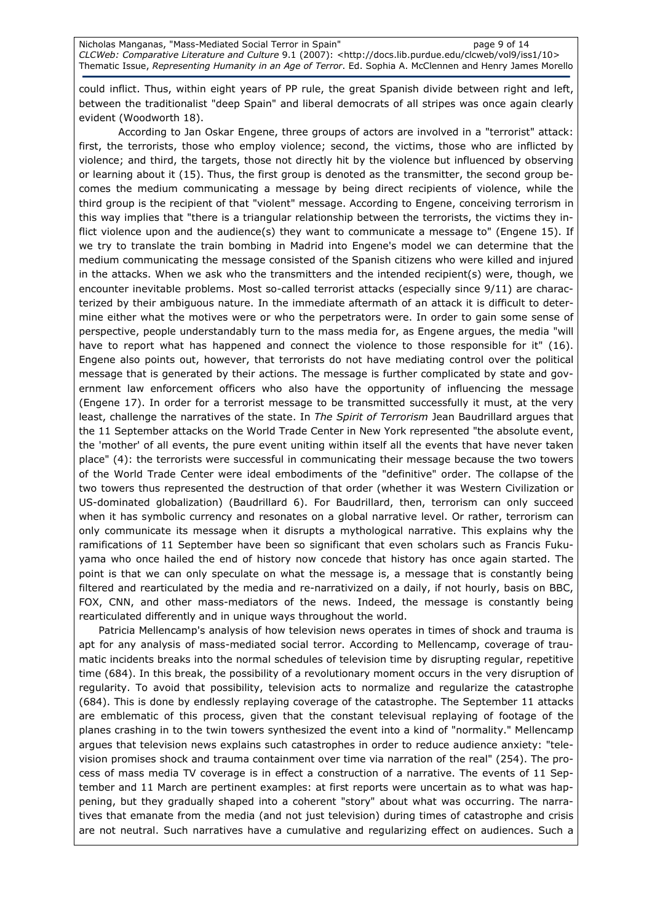Nicholas Manganas, "Mass-Mediated Social Terror in Spain" and page 9 of 14 CLCWeb: Comparative Literature and Culture 9.1 (2007): <http://docs.lib.purdue.edu/clcweb/vol9/iss1/10> Thematic Issue, Representing Humanity in an Age of Terror. Ed. Sophia A. McClennen and Henry James Morello

could inflict. Thus, within eight years of PP rule, the great Spanish divide between right and left, between the traditionalist "deep Spain" and liberal democrats of all stripes was once again clearly evident (Woodworth 18).

 According to Jan Oskar Engene, three groups of actors are involved in a "terrorist" attack: first, the terrorists, those who employ violence; second, the victims, those who are inflicted by violence; and third, the targets, those not directly hit by the violence but influenced by observing or learning about it (15). Thus, the first group is denoted as the transmitter, the second group becomes the medium communicating a message by being direct recipients of violence, while the third group is the recipient of that "violent" message. According to Engene, conceiving terrorism in this way implies that "there is a triangular relationship between the terrorists, the victims they inflict violence upon and the audience(s) they want to communicate a message to" (Engene 15). If we try to translate the train bombing in Madrid into Engene's model we can determine that the medium communicating the message consisted of the Spanish citizens who were killed and injured in the attacks. When we ask who the transmitters and the intended recipient(s) were, though, we encounter inevitable problems. Most so-called terrorist attacks (especially since 9/11) are characterized by their ambiguous nature. In the immediate aftermath of an attack it is difficult to determine either what the motives were or who the perpetrators were. In order to gain some sense of perspective, people understandably turn to the mass media for, as Engene argues, the media "will have to report what has happened and connect the violence to those responsible for it" (16). Engene also points out, however, that terrorists do not have mediating control over the political message that is generated by their actions. The message is further complicated by state and government law enforcement officers who also have the opportunity of influencing the message (Engene 17). In order for a terrorist message to be transmitted successfully it must, at the very least, challenge the narratives of the state. In The Spirit of Terrorism Jean Baudrillard argues that the 11 September attacks on the World Trade Center in New York represented "the absolute event, the 'mother' of all events, the pure event uniting within itself all the events that have never taken place" (4): the terrorists were successful in communicating their message because the two towers of the World Trade Center were ideal embodiments of the "definitive" order. The collapse of the two towers thus represented the destruction of that order (whether it was Western Civilization or US-dominated globalization) (Baudrillard 6). For Baudrillard, then, terrorism can only succeed when it has symbolic currency and resonates on a global narrative level. Or rather, terrorism can only communicate its message when it disrupts a mythological narrative. This explains why the ramifications of 11 September have been so significant that even scholars such as Francis Fukuyama who once hailed the end of history now concede that history has once again started. The point is that we can only speculate on what the message is, a message that is constantly being filtered and rearticulated by the media and re-narrativized on a daily, if not hourly, basis on BBC, FOX, CNN, and other mass-mediators of the news. Indeed, the message is constantly being rearticulated differently and in unique ways throughout the world.

Patricia Mellencamp's analysis of how television news operates in times of shock and trauma is apt for any analysis of mass-mediated social terror. According to Mellencamp, coverage of traumatic incidents breaks into the normal schedules of television time by disrupting regular, repetitive time (684). In this break, the possibility of a revolutionary moment occurs in the very disruption of regularity. To avoid that possibility, television acts to normalize and regularize the catastrophe (684). This is done by endlessly replaying coverage of the catastrophe. The September 11 attacks are emblematic of this process, given that the constant televisual replaying of footage of the planes crashing in to the twin towers synthesized the event into a kind of "normality." Mellencamp argues that television news explains such catastrophes in order to reduce audience anxiety: "television promises shock and trauma containment over time via narration of the real" (254). The process of mass media TV coverage is in effect a construction of a narrative. The events of 11 September and 11 March are pertinent examples: at first reports were uncertain as to what was happening, but they gradually shaped into a coherent "story" about what was occurring. The narratives that emanate from the media (and not just television) during times of catastrophe and crisis are not neutral. Such narratives have a cumulative and regularizing effect on audiences. Such a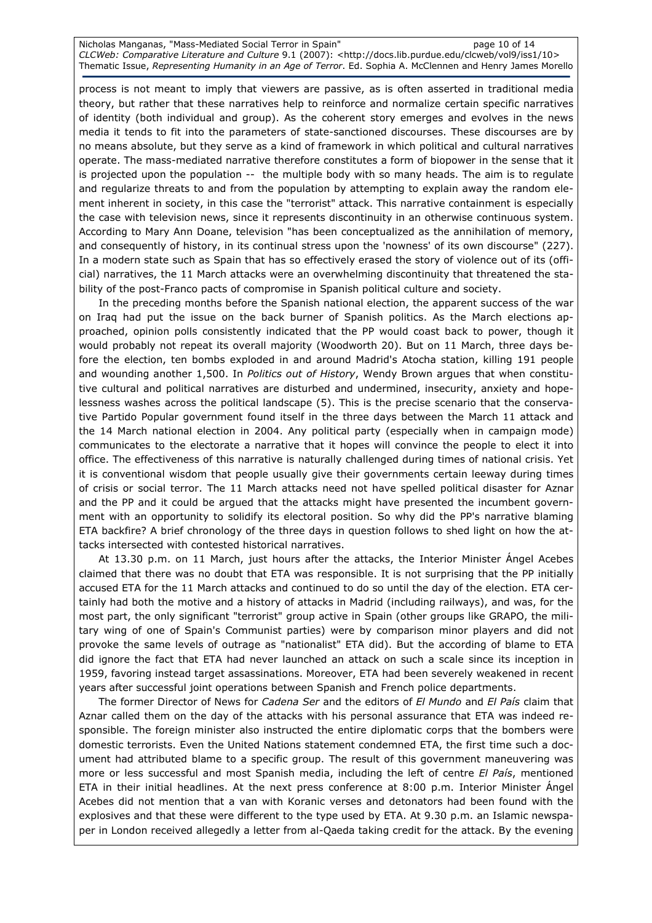Nicholas Manganas, "Mass-Mediated Social Terror in Spain" and page 10 of 14 CLCWeb: Comparative Literature and Culture 9.1 (2007): <http://docs.lib.purdue.edu/clcweb/vol9/iss1/10> Thematic Issue, Representing Humanity in an Age of Terror. Ed. Sophia A. McClennen and Henry James Morello

process is not meant to imply that viewers are passive, as is often asserted in traditional media theory, but rather that these narratives help to reinforce and normalize certain specific narratives of identity (both individual and group). As the coherent story emerges and evolves in the news media it tends to fit into the parameters of state-sanctioned discourses. These discourses are by no means absolute, but they serve as a kind of framework in which political and cultural narratives operate. The mass-mediated narrative therefore constitutes a form of biopower in the sense that it is projected upon the population -- the multiple body with so many heads. The aim is to regulate and regularize threats to and from the population by attempting to explain away the random element inherent in society, in this case the "terrorist" attack. This narrative containment is especially the case with television news, since it represents discontinuity in an otherwise continuous system. According to Mary Ann Doane, television "has been conceptualized as the annihilation of memory, and consequently of history, in its continual stress upon the 'nowness' of its own discourse" (227). In a modern state such as Spain that has so effectively erased the story of violence out of its (official) narratives, the 11 March attacks were an overwhelming discontinuity that threatened the stability of the post-Franco pacts of compromise in Spanish political culture and society.

In the preceding months before the Spanish national election, the apparent success of the war on Iraq had put the issue on the back burner of Spanish politics. As the March elections approached, opinion polls consistently indicated that the PP would coast back to power, though it would probably not repeat its overall majority (Woodworth 20). But on 11 March, three days before the election, ten bombs exploded in and around Madrid's Atocha station, killing 191 people and wounding another 1,500. In Politics out of History, Wendy Brown argues that when constitutive cultural and political narratives are disturbed and undermined, insecurity, anxiety and hopelessness washes across the political landscape (5). This is the precise scenario that the conservative Partido Popular government found itself in the three days between the March 11 attack and the 14 March national election in 2004. Any political party (especially when in campaign mode) communicates to the electorate a narrative that it hopes will convince the people to elect it into office. The effectiveness of this narrative is naturally challenged during times of national crisis. Yet it is conventional wisdom that people usually give their governments certain leeway during times of crisis or social terror. The 11 March attacks need not have spelled political disaster for Aznar and the PP and it could be argued that the attacks might have presented the incumbent government with an opportunity to solidify its electoral position. So why did the PP's narrative blaming ETA backfire? A brief chronology of the three days in question follows to shed light on how the attacks intersected with contested historical narratives.

At 13.30 p.m. on 11 March, just hours after the attacks, the Interior Minister Ángel Acebes claimed that there was no doubt that ETA was responsible. It is not surprising that the PP initially accused ETA for the 11 March attacks and continued to do so until the day of the election. ETA certainly had both the motive and a history of attacks in Madrid (including railways), and was, for the most part, the only significant "terrorist" group active in Spain (other groups like GRAPO, the military wing of one of Spain's Communist parties) were by comparison minor players and did not provoke the same levels of outrage as "nationalist" ETA did). But the according of blame to ETA did ignore the fact that ETA had never launched an attack on such a scale since its inception in 1959, favoring instead target assassinations. Moreover, ETA had been severely weakened in recent years after successful joint operations between Spanish and French police departments.

The former Director of News for Cadena Ser and the editors of El Mundo and El País claim that Aznar called them on the day of the attacks with his personal assurance that ETA was indeed responsible. The foreign minister also instructed the entire diplomatic corps that the bombers were domestic terrorists. Even the United Nations statement condemned ETA, the first time such a document had attributed blame to a specific group. The result of this government maneuvering was more or less successful and most Spanish media, including the left of centre El País, mentioned ETA in their initial headlines. At the next press conference at 8:00 p.m. Interior Minister Ángel Acebes did not mention that a van with Koranic verses and detonators had been found with the explosives and that these were different to the type used by ETA. At 9.30 p.m. an Islamic newspaper in London received allegedly a letter from al-Qaeda taking credit for the attack. By the evening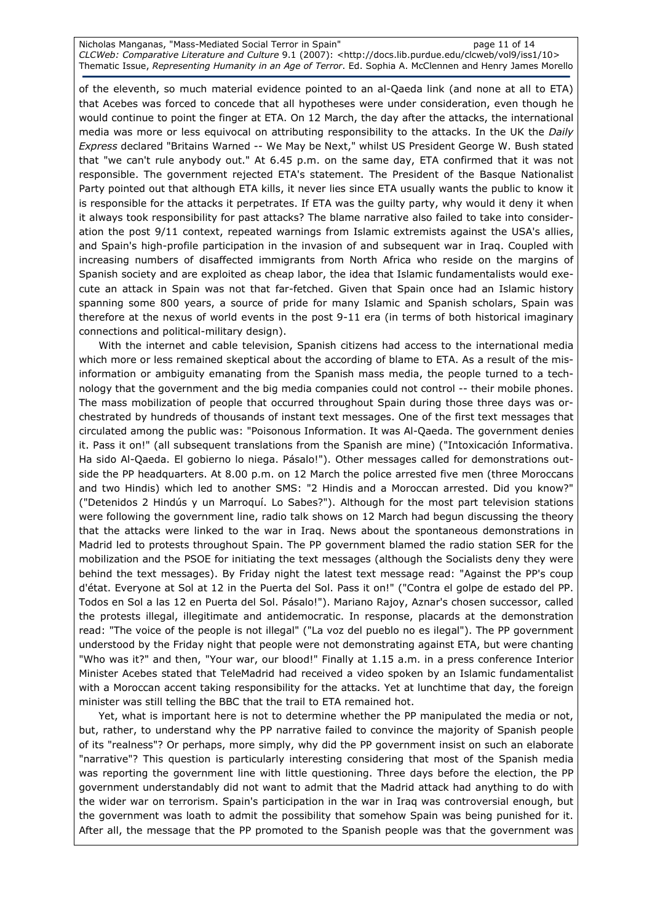Nicholas Manganas, "Mass-Mediated Social Terror in Spain" and page 11 of 14 CLCWeb: Comparative Literature and Culture 9.1 (2007): <http://docs.lib.purdue.edu/clcweb/vol9/iss1/10> Thematic Issue, Representing Humanity in an Age of Terror. Ed. Sophia A. McClennen and Henry James Morello

of the eleventh, so much material evidence pointed to an al-Qaeda link (and none at all to ETA) that Acebes was forced to concede that all hypotheses were under consideration, even though he would continue to point the finger at ETA. On 12 March, the day after the attacks, the international media was more or less equivocal on attributing responsibility to the attacks. In the UK the Daily Express declared "Britains Warned -- We May be Next," whilst US President George W. Bush stated that "we can't rule anybody out." At 6.45 p.m. on the same day, ETA confirmed that it was not responsible. The government rejected ETA's statement. The President of the Basque Nationalist Party pointed out that although ETA kills, it never lies since ETA usually wants the public to know it is responsible for the attacks it perpetrates. If ETA was the guilty party, why would it deny it when it always took responsibility for past attacks? The blame narrative also failed to take into consideration the post 9/11 context, repeated warnings from Islamic extremists against the USA's allies, and Spain's high-profile participation in the invasion of and subsequent war in Iraq. Coupled with increasing numbers of disaffected immigrants from North Africa who reside on the margins of Spanish society and are exploited as cheap labor, the idea that Islamic fundamentalists would execute an attack in Spain was not that far-fetched. Given that Spain once had an Islamic history spanning some 800 years, a source of pride for many Islamic and Spanish scholars, Spain was therefore at the nexus of world events in the post 9-11 era (in terms of both historical imaginary connections and political-military design).

With the internet and cable television, Spanish citizens had access to the international media which more or less remained skeptical about the according of blame to ETA. As a result of the misinformation or ambiguity emanating from the Spanish mass media, the people turned to a technology that the government and the big media companies could not control -- their mobile phones. The mass mobilization of people that occurred throughout Spain during those three days was orchestrated by hundreds of thousands of instant text messages. One of the first text messages that circulated among the public was: "Poisonous Information. It was Al-Qaeda. The government denies it. Pass it on!" (all subsequent translations from the Spanish are mine) ("Intoxicación Informativa. Ha sido Al-Qaeda. El gobierno lo niega. Pásalo!"). Other messages called for demonstrations outside the PP headquarters. At 8.00 p.m. on 12 March the police arrested five men (three Moroccans and two Hindis) which led to another SMS: "2 Hindis and a Moroccan arrested. Did you know?" ("Detenidos 2 Hindús y un Marroquí. Lo Sabes?"). Although for the most part television stations were following the government line, radio talk shows on 12 March had begun discussing the theory that the attacks were linked to the war in Iraq. News about the spontaneous demonstrations in Madrid led to protests throughout Spain. The PP government blamed the radio station SER for the mobilization and the PSOE for initiating the text messages (although the Socialists deny they were behind the text messages). By Friday night the latest text message read: "Against the PP's coup d'état. Everyone at Sol at 12 in the Puerta del Sol. Pass it on!" ("Contra el golpe de estado del PP. Todos en Sol a las 12 en Puerta del Sol. Pásalo!"). Mariano Rajoy, Aznar's chosen successor, called the protests illegal, illegitimate and antidemocratic. In response, placards at the demonstration read: "The voice of the people is not illegal" ("La voz del pueblo no es ilegal"). The PP government understood by the Friday night that people were not demonstrating against ETA, but were chanting "Who was it?" and then, "Your war, our blood!" Finally at 1.15 a.m. in a press conference Interior Minister Acebes stated that TeleMadrid had received a video spoken by an Islamic fundamentalist with a Moroccan accent taking responsibility for the attacks. Yet at lunchtime that day, the foreign minister was still telling the BBC that the trail to ETA remained hot.

Yet, what is important here is not to determine whether the PP manipulated the media or not, but, rather, to understand why the PP narrative failed to convince the majority of Spanish people of its "realness"? Or perhaps, more simply, why did the PP government insist on such an elaborate "narrative"? This question is particularly interesting considering that most of the Spanish media was reporting the government line with little questioning. Three days before the election, the PP government understandably did not want to admit that the Madrid attack had anything to do with the wider war on terrorism. Spain's participation in the war in Iraq was controversial enough, but the government was loath to admit the possibility that somehow Spain was being punished for it. After all, the message that the PP promoted to the Spanish people was that the government was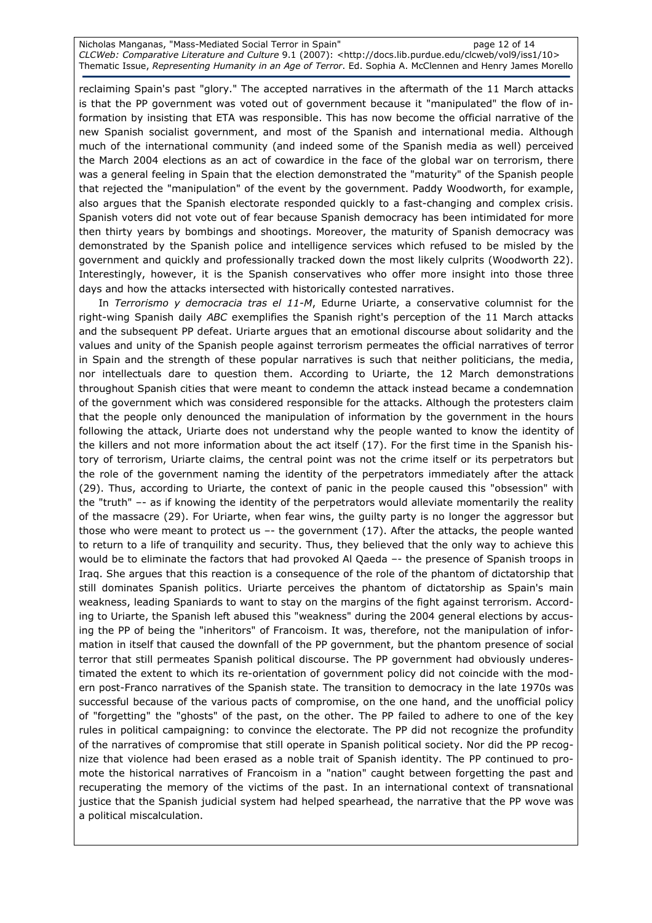Nicholas Manganas, "Mass-Mediated Social Terror in Spain" and page 12 of 14 CLCWeb: Comparative Literature and Culture 9.1 (2007): <http://docs.lib.purdue.edu/clcweb/vol9/iss1/10> Thematic Issue, Representing Humanity in an Age of Terror. Ed. Sophia A. McClennen and Henry James Morello

reclaiming Spain's past "glory." The accepted narratives in the aftermath of the 11 March attacks is that the PP government was voted out of government because it "manipulated" the flow of information by insisting that ETA was responsible. This has now become the official narrative of the new Spanish socialist government, and most of the Spanish and international media. Although much of the international community (and indeed some of the Spanish media as well) perceived the March 2004 elections as an act of cowardice in the face of the global war on terrorism, there was a general feeling in Spain that the election demonstrated the "maturity" of the Spanish people that rejected the "manipulation" of the event by the government. Paddy Woodworth, for example, also argues that the Spanish electorate responded quickly to a fast-changing and complex crisis. Spanish voters did not vote out of fear because Spanish democracy has been intimidated for more then thirty years by bombings and shootings. Moreover, the maturity of Spanish democracy was demonstrated by the Spanish police and intelligence services which refused to be misled by the government and quickly and professionally tracked down the most likely culprits (Woodworth 22). Interestingly, however, it is the Spanish conservatives who offer more insight into those three days and how the attacks intersected with historically contested narratives.

In Terrorismo y democracia tras el 11-M, Edurne Uriarte, a conservative columnist for the right-wing Spanish daily ABC exemplifies the Spanish right's perception of the 11 March attacks and the subsequent PP defeat. Uriarte argues that an emotional discourse about solidarity and the values and unity of the Spanish people against terrorism permeates the official narratives of terror in Spain and the strength of these popular narratives is such that neither politicians, the media, nor intellectuals dare to question them. According to Uriarte, the 12 March demonstrations throughout Spanish cities that were meant to condemn the attack instead became a condemnation of the government which was considered responsible for the attacks. Although the protesters claim that the people only denounced the manipulation of information by the government in the hours following the attack, Uriarte does not understand why the people wanted to know the identity of the killers and not more information about the act itself (17). For the first time in the Spanish history of terrorism, Uriarte claims, the central point was not the crime itself or its perpetrators but the role of the government naming the identity of the perpetrators immediately after the attack (29). Thus, according to Uriarte, the context of panic in the people caused this "obsession" with the "truth" –- as if knowing the identity of the perpetrators would alleviate momentarily the reality of the massacre (29). For Uriarte, when fear wins, the guilty party is no longer the aggressor but those who were meant to protect us –- the government (17). After the attacks, the people wanted to return to a life of tranquility and security. Thus, they believed that the only way to achieve this would be to eliminate the factors that had provoked Al Qaeda –- the presence of Spanish troops in Iraq. She argues that this reaction is a consequence of the role of the phantom of dictatorship that still dominates Spanish politics. Uriarte perceives the phantom of dictatorship as Spain's main weakness, leading Spaniards to want to stay on the margins of the fight against terrorism. According to Uriarte, the Spanish left abused this "weakness" during the 2004 general elections by accusing the PP of being the "inheritors" of Francoism. It was, therefore, not the manipulation of information in itself that caused the downfall of the PP government, but the phantom presence of social terror that still permeates Spanish political discourse. The PP government had obviously underestimated the extent to which its re-orientation of government policy did not coincide with the modern post-Franco narratives of the Spanish state. The transition to democracy in the late 1970s was successful because of the various pacts of compromise, on the one hand, and the unofficial policy of "forgetting" the "ghosts" of the past, on the other. The PP failed to adhere to one of the key rules in political campaigning: to convince the electorate. The PP did not recognize the profundity of the narratives of compromise that still operate in Spanish political society. Nor did the PP recognize that violence had been erased as a noble trait of Spanish identity. The PP continued to promote the historical narratives of Francoism in a "nation" caught between forgetting the past and recuperating the memory of the victims of the past. In an international context of transnational justice that the Spanish judicial system had helped spearhead, the narrative that the PP wove was a political miscalculation.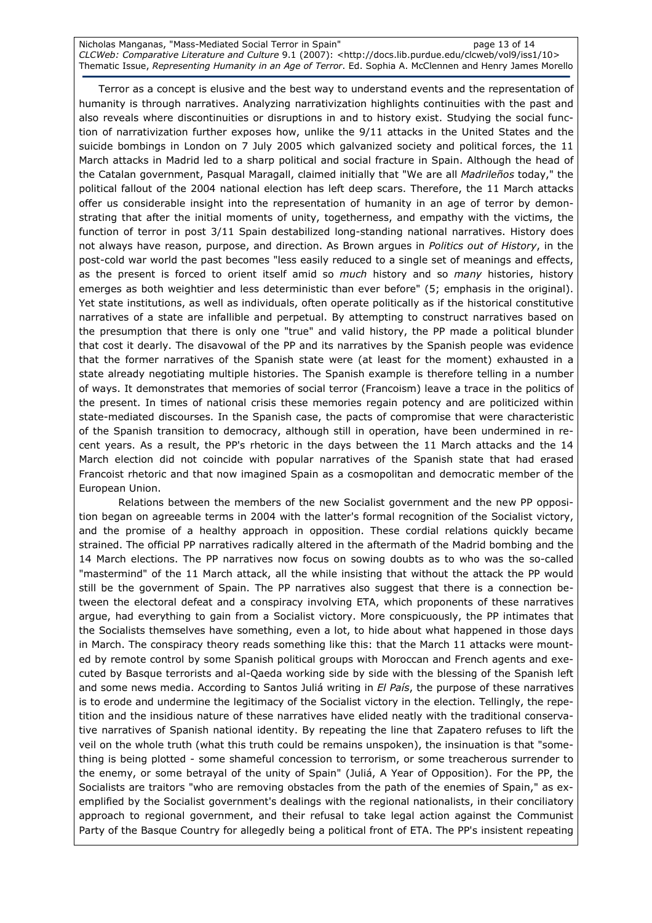Nicholas Manganas, "Mass-Mediated Social Terror in Spain" and page 13 of 14 CLCWeb: Comparative Literature and Culture 9.1 (2007): <http://docs.lib.purdue.edu/clcweb/vol9/iss1/10> Thematic Issue, Representing Humanity in an Age of Terror. Ed. Sophia A. McClennen and Henry James Morello

Terror as a concept is elusive and the best way to understand events and the representation of humanity is through narratives. Analyzing narrativization highlights continuities with the past and also reveals where discontinuities or disruptions in and to history exist. Studying the social function of narrativization further exposes how, unlike the 9/11 attacks in the United States and the suicide bombings in London on 7 July 2005 which galvanized society and political forces, the 11 March attacks in Madrid led to a sharp political and social fracture in Spain. Although the head of the Catalan government, Pasqual Maragall, claimed initially that "We are all Madrileños today," the political fallout of the 2004 national election has left deep scars. Therefore, the 11 March attacks offer us considerable insight into the representation of humanity in an age of terror by demonstrating that after the initial moments of unity, togetherness, and empathy with the victims, the function of terror in post 3/11 Spain destabilized long-standing national narratives. History does not always have reason, purpose, and direction. As Brown argues in Politics out of History, in the post-cold war world the past becomes "less easily reduced to a single set of meanings and effects, as the present is forced to orient itself amid so *much* history and so *many* histories, history emerges as both weightier and less deterministic than ever before" (5; emphasis in the original). Yet state institutions, as well as individuals, often operate politically as if the historical constitutive narratives of a state are infallible and perpetual. By attempting to construct narratives based on the presumption that there is only one "true" and valid history, the PP made a political blunder that cost it dearly. The disavowal of the PP and its narratives by the Spanish people was evidence that the former narratives of the Spanish state were (at least for the moment) exhausted in a state already negotiating multiple histories. The Spanish example is therefore telling in a number of ways. It demonstrates that memories of social terror (Francoism) leave a trace in the politics of the present. In times of national crisis these memories regain potency and are politicized within state-mediated discourses. In the Spanish case, the pacts of compromise that were characteristic of the Spanish transition to democracy, although still in operation, have been undermined in recent years. As a result, the PP's rhetoric in the days between the 11 March attacks and the 14 March election did not coincide with popular narratives of the Spanish state that had erased Francoist rhetoric and that now imagined Spain as a cosmopolitan and democratic member of the European Union.

 Relations between the members of the new Socialist government and the new PP opposition began on agreeable terms in 2004 with the latter's formal recognition of the Socialist victory, and the promise of a healthy approach in opposition. These cordial relations quickly became strained. The official PP narratives radically altered in the aftermath of the Madrid bombing and the 14 March elections. The PP narratives now focus on sowing doubts as to who was the so-called "mastermind" of the 11 March attack, all the while insisting that without the attack the PP would still be the government of Spain. The PP narratives also suggest that there is a connection between the electoral defeat and a conspiracy involving ETA, which proponents of these narratives argue, had everything to gain from a Socialist victory. More conspicuously, the PP intimates that the Socialists themselves have something, even a lot, to hide about what happened in those days in March. The conspiracy theory reads something like this: that the March 11 attacks were mounted by remote control by some Spanish political groups with Moroccan and French agents and executed by Basque terrorists and al-Qaeda working side by side with the blessing of the Spanish left and some news media. According to Santos Juliá writing in El País, the purpose of these narratives is to erode and undermine the legitimacy of the Socialist victory in the election. Tellingly, the repetition and the insidious nature of these narratives have elided neatly with the traditional conservative narratives of Spanish national identity. By repeating the line that Zapatero refuses to lift the veil on the whole truth (what this truth could be remains unspoken), the insinuation is that "something is being plotted - some shameful concession to terrorism, or some treacherous surrender to the enemy, or some betrayal of the unity of Spain" (Juliá, A Year of Opposition). For the PP, the Socialists are traitors "who are removing obstacles from the path of the enemies of Spain," as exemplified by the Socialist government's dealings with the regional nationalists, in their conciliatory approach to regional government, and their refusal to take legal action against the Communist Party of the Basque Country for allegedly being a political front of ETA. The PP's insistent repeating